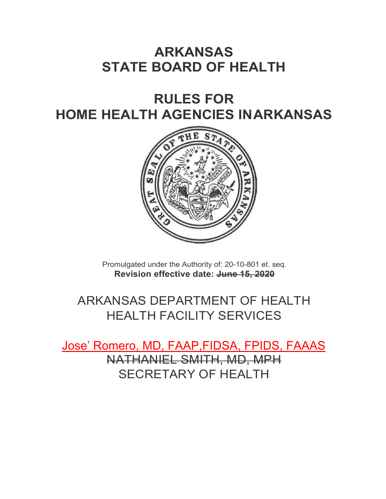# **ARKANSAS STATE BOARD OF HEALTH**

# **RULES FOR HOME HEALTH AGENCIES INARKANSAS**



Promulgated under the Authority of: 20-10-801 et. seq. **Revision effective date: June 15, 2020**

# ARKANSAS DEPARTMENT OF HEALTH HEALTH FACILITY SERVICES

Jose' Romero, MD, FAAP,FIDSA, FPIDS, FAAAS NATHANIEL SMITH, MD, MPH SECRETARY OF HEALTH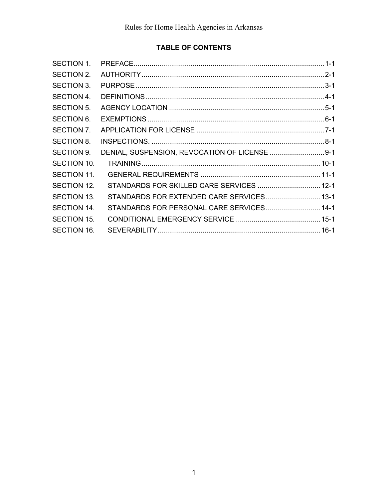# **TABLE OF CONTENTS**

| DENIAL, SUSPENSION, REVOCATION OF LICENSE  9-1<br>STANDARDS FOR SKILLED CARE SERVICES  12-1<br>STANDARDS FOR EXTENDED CARE SERVICES 13-1<br>STANDARDS FOR PERSONAL CARE SERVICES 14-1 |
|---------------------------------------------------------------------------------------------------------------------------------------------------------------------------------------|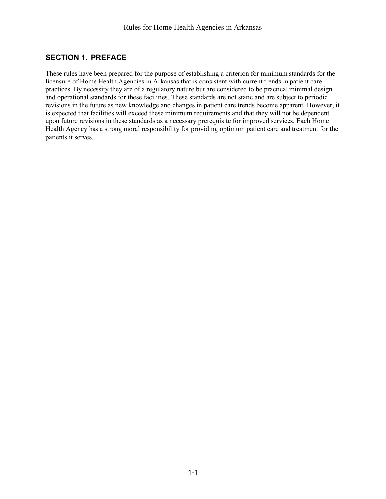#### <span id="page-2-0"></span>**SECTION 1. PREFACE**

These rules have been prepared for the purpose of establishing a criterion for minimum standards for the licensure of Home Health Agencies in Arkansas that is consistent with current trends in patient care practices. By necessity they are of a regulatory nature but are considered to be practical minimal design and operational standards for these facilities. These standards are not static and are subject to periodic revisions in the future as new knowledge and changes in patient care trends become apparent. However, it is expected that facilities will exceed these minimum requirements and that they will not be dependent upon future revisions in these standards as a necessary prerequisite for improved services. Each Home Health Agency has a strong moral responsibility for providing optimum patient care and treatment for the patients it serves.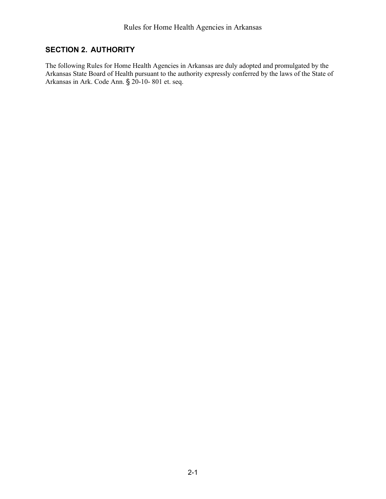# <span id="page-3-0"></span>**SECTION 2. AUTHORITY**

The following Rules for Home Health Agencies in Arkansas are duly adopted and promulgated by the Arkansas State Board of Health pursuant to the authority expressly conferred by the laws of the State of Arkansas in Ark. Code Ann. § 20-10- 801 et. seq.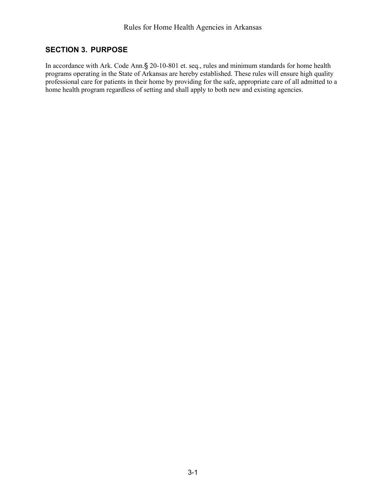# <span id="page-4-0"></span>**SECTION 3. PURPOSE**

In accordance with Ark. Code Ann.§ 20-10-801 et. seq., rules and minimum standards for home health programs operating in the State of Arkansas are hereby established. These rules will ensure high quality professional care for patients in their home by providing for the safe, appropriate care of all admitted to a home health program regardless of setting and shall apply to both new and existing agencies.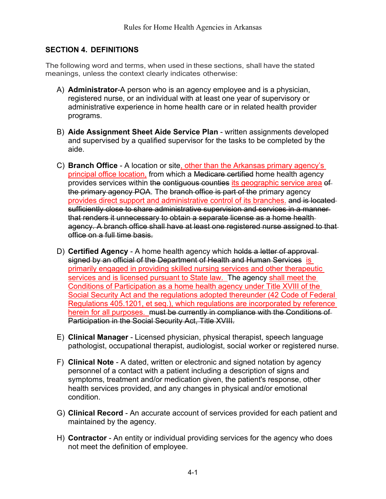## <span id="page-5-0"></span>**SECTION 4. DEFINITIONS**

The following word and terms, when used in these sections, shall have the stated meanings, unless the context clearly indicates otherwise:

- A) **Administrator**-A person who is an agency employee and is a physician, registered nurse, or an individual with at least one year of supervisory or administrative experience in home health care or in related health provider programs.
- B) **Aide Assignment Sheet Aide Service Plan** written assignments developed and supervised by a qualified supervisor for the tasks to be completed by the aide.
- C) **Branch Office** A location or site, other than the Arkansas primary agency's principal office location, from which a Medicare certified home health agency provides services within the contiguous counties its geographic service area of the primary agency POA. The branch office is part of the primary agency provides direct support and administrative control of its branches. and is located sufficiently close to share administrative supervision and services in a mannerthat renders it unnecessary to obtain a separate license as a home health agency. A branch office shall have at least one registered nurse assigned to that office on a full time basis.
- D) **Certified Agency** A home health agency which holds a letter of approval signed by an official of the Department of Health and Human Services is primarily engaged in providing skilled nursing services and other therapeutic services and is licensed pursuant to State law. The agency shall meet the Conditions of Participation as a home health agency under Title XVIII of the Social Security Act and the regulations adopted thereunder (42 Code of Federal Regulations 405.1201, et seq.), which regulations are incorporated by reference herein for all purposes. must be currently in compliance with the Conditions of Participation in the Social Security Act, Title XVIII.
- E) **Clinical Manager** Licensed physician, physical therapist, speech language pathologist, occupational therapist, audiologist, social worker or registered nurse.
- F) **Clinical Note** A dated, written or electronic and signed notation by agency personnel of a contact with a patient including a description of signs and symptoms, treatment and/or medication given, the patient's response, other health services provided, and any changes in physical and/or emotional condition.
- G) **Clinical Record** An accurate account of services provided for each patient and maintained by the agency.
- H) **Contractor** An entity or individual providing services for the agency who does not meet the definition of employee.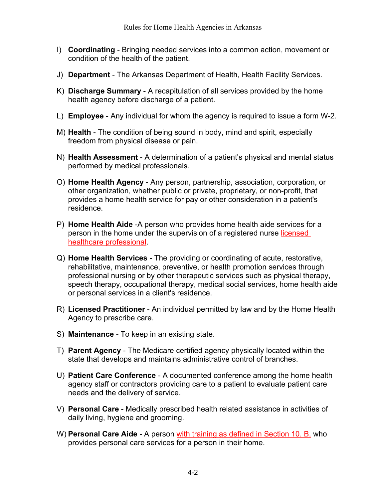- I) **Coordinating** Bringing needed services into a common action, movement or condition of the health of the patient.
- J) **Department** The Arkansas Department of Health, Health Facility Services.
- K) **Discharge Summary** A recapitulation of all services provided by the home health agency before discharge of a patient.
- L) **Employee** Any individual for whom the agency is required to issue a form W-2.
- M) **Health** The condition of being sound in body, mind and spirit, especially freedom from physical disease or pain.
- N) **Health Assessment** A determination of a patient's physical and mental status performed by medical professionals.
- O) **Home Health Agency** Any person, partnership, association, corporation, or other organization, whether public or private, proprietary, or non-profit, that provides a home health service for pay or other consideration in a patient's residence.
- P) **Home Health Aide** -A person who provides home health aide services for a person in the home under the supervision of a registered nurse licensed healthcare professional.
- Q) **Home Health Services** The providing or coordinating of acute, restorative, rehabilitative, maintenance, preventive, or health promotion services through professional nursing or by other therapeutic services such as physical therapy, speech therapy, occupational therapy, medical social services, home health aide or personal services in a client's residence.
- R) **Licensed Practitioner** An individual permitted by law and by the Home Health Agency to prescribe care.
- S) **Maintenance** To keep in an existing state.
- T) **Parent Agency** The Medicare certified agency physically located within the state that develops and maintains administrative control of branches.
- U) **Patient Care Conference** A documented conference among the home health agency staff or contractors providing care to a patient to evaluate patient care needs and the delivery of service.
- V) **Personal Care** Medically prescribed health related assistance in activities of daily living, hygiene and grooming.
- W) **Personal Care Aide** A person with training as defined in Section 10. B. who provides personal care services for a person in their home.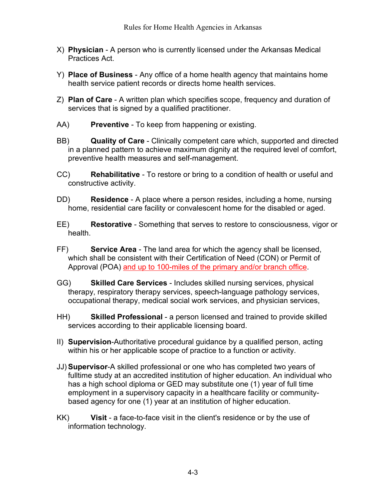- X) **Physician** A person who is currently licensed under the Arkansas Medical Practices Act.
- Y) **Place of Business** Any office of a home health agency that maintains home health service patient records or directs home health services.
- Z) **Plan of Care** A written plan which specifies scope, frequency and duration of services that is signed by a qualified practitioner.
- AA) **Preventive** To keep from happening or existing.
- BB) **Quality of Care** Clinically competent care which, supported and directed in a planned pattern to achieve maximum dignity at the required level of comfort, preventive health measures and self-management.
- CC) **Rehabilitative** To restore or bring to a condition of health or useful and constructive activity.
- DD) **Residence** A place where a person resides, including a home, nursing home, residential care facility or convalescent home for the disabled or aged.
- EE) **Restorative** Something that serves to restore to consciousness, vigor or health.
- FF) **Service Area** The land area for which the agency shall be licensed, which shall be consistent with their Certification of Need (CON) or Permit of Approval (POA) and up to 100-miles of the primary and/or branch office.
- GG) **Skilled Care Services** Includes skilled nursing services, physical therapy, respiratory therapy services, speech-language pathology services, occupational therapy, medical social work services, and physician services,
- HH) **Skilled Professional** a person licensed and trained to provide skilled services according to their applicable licensing board.
- II) **Supervision**-Authoritative procedural guidance by a qualified person, acting within his or her applicable scope of practice to a function or activity.
- JJ) **Supervisor**-A skilled professional or one who has completed two years of fulltime study at an accredited institution of higher education. An individual who has a high school diploma or GED may substitute one (1) year of full time employment in a supervisory capacity in a healthcare facility or communitybased agency for one (1) year at an institution of higher education.
- KK) **Visit** a face-to-face visit in the client's residence or by the use of information technology.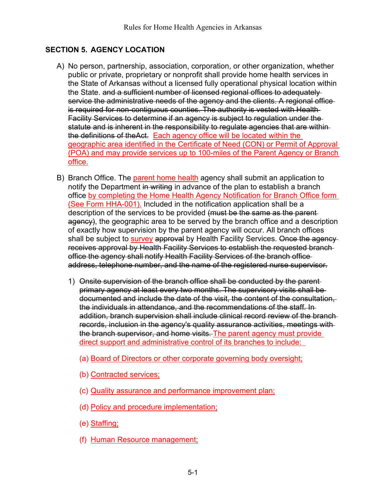## <span id="page-8-0"></span>**SECTION 5. AGENCY LOCATION**

- A) No person, partnership, association, corporation, or other organization, whether public or private, proprietary or nonprofit shall provide home health services in the State of Arkansas without a licensed fully operational physical location within the State. and a sufficient number of licensed regional offices to adequately service the administrative needs of the agency and the clients. A regional office is required for non-contiguous counties. The authority is vested with Health Facility Services to determine if an agency is subject to regulation under the statute and is inherent in the responsibility to regulate agencies that are within the definitions of theAct. Each agency office will be located within the geographic area identified in the Certificate of Need (CON) or Permit of Approval (POA) and may provide services up to 100-miles of the Parent Agency or Branch office.
- B) Branch Office. The parent home health agency shall submit an application to notify the Department in writing in advance of the plan to establish a branch office by completing the Home Health Agency Notification for Branch Office form (See Form HHA-001). Included in the notification application shall be a description of the services to be provided (must be the same as the parentagency), the geographic area to be served by the branch office and a description of exactly how supervision by the parent agency will occur. All branch offices shall be subject to **survey approval** by Health Facility Services. Once the agency receives approval by Health Facility Services to establish the requested branch office the agency shall notify Health Facility Services of the branch office address, telephone number, and the name of the registered nurse supervisor.
	- 1) Onsite supervision of the branch office shall be conducted by the parent primary agency at least every two months. The supervisory visits shall be documented and include the date of the visit, the content of the consultation, the individuals in attendance, and the recommendations of the staff. In addition, branch supervision shall include clinical record review of the branch records, inclusion in the agency's quality assurance activities, meetings with the branch supervisor, and home visits. The parent agency must provide direct support and administrative control of its branches to include:
		- (a) Board of Directors or other corporate governing body oversight;
		- (b) Contracted services;
		- (c) Quality assurance and performance improvement plan;
		- (d) Policy and procedure implementation;
		- (e) Staffing;
		- (f) Human Resource management;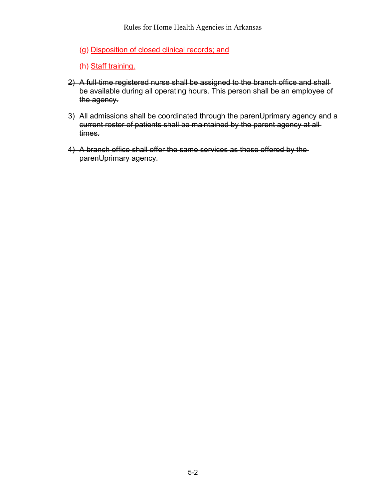- (g) Disposition of closed clinical records; and
- (h) Staff training.
- 2) A full-time registered nurse shall be assigned to the branch office and shallbe available during all operating hours. This person shall be an employee of the agency.
- 3) All admissions shall be coordinated through the parenUprimary agency and a current roster of patients shall be maintained by the parent agency at all times.
- 4) A branch office shall offer the same services as those offered by the parenUprimary agency.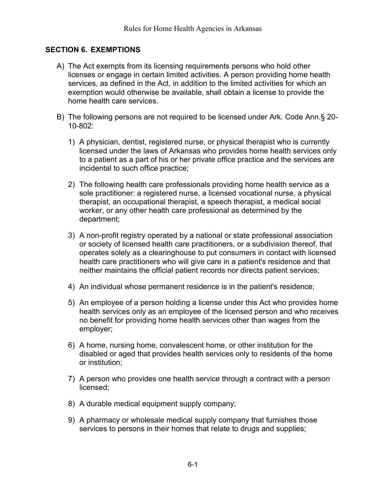#### <span id="page-10-0"></span>**SECTION 6. EXEMPTIONS**

- A) The Act exempts from its licensing requirements persons who hold other licenses or engage in certain limited activities. A person providing home health services, as defined in the Act, in addition to the limited activities for which an exemption would otherwise be available, shall obtain a license to provide the home health care services.
- B) The following persons are not required to be licensed under Ark. Code Ann.§ 20- 10-802:
	- 1) A physician, dentist, registered nurse, or physical therapist who is currently licensed under the laws of Arkansas who provides home health services only to a patient as a part of his or her private office practice and the services are incidental to such office practice;
	- 2) The following health care professionals providing home health service as a sole practitioner: a registered nurse, a licensed vocational nurse, a physical therapist, an occupational therapist, a speech therapist, a medical social worker, or any other health care professional as determined by the department;
	- 3) A non-profit registry operated by a national or state professional association or society of licensed health care practitioners, or a subdivision thereof, that operates solely as a clearinghouse to put consumers in contact with licensed health care practitioners who will give care in a patient's residence and that neither maintains the official patient records nor directs patient services;
	- 4) An individual whose permanent residence is in the patient's residence;
	- 5) An employee of a person holding a license under this Act who provides home health services only as an employee of the licensed person and who receives no benefit for providing home health services other than wages from the employer;
	- 6) A home, nursing home, convalescent home, or other institution for the disabled or aged that provides health services only to residents of the home or institution;
	- 7) A person who provides one health service through a contract with a person licensed;
	- 8) A durable medical equipment supply company;
	- 9) A pharmacy or wholesale medical supply company that furnishes those services to persons in their homes that relate to drugs and supplies;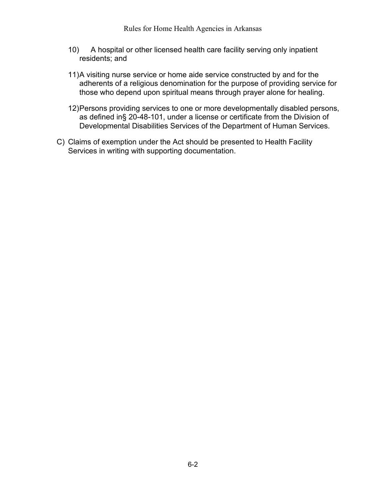- 10) A hospital or other licensed health care facility serving only inpatient residents; and
- 11)A visiting nurse service or home aide service constructed by and for the adherents of a religious denomination for the purpose of providing service for those who depend upon spiritual means through prayer alone for healing.
- 12)Persons providing services to one or more developmentally disabled persons, as defined in§ 20-48-101, under a license or certificate from the Division of Developmental Disabilities Services of the Department of Human Services.
- C) Claims of exemption under the Act should be presented to Health Facility Services in writing with supporting documentation.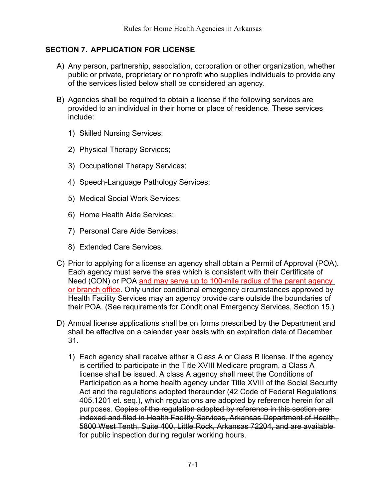#### <span id="page-12-0"></span>**SECTION 7. APPLICATION FOR LICENSE**

- A) Any person, partnership, association, corporation or other organization, whether public or private, proprietary or nonprofit who supplies individuals to provide any of the services listed below shall be considered an agency.
- B) Agencies shall be required to obtain a license if the following services are provided to an individual in their home or place of residence. These services include:
	- 1) Skilled Nursing Services;
	- 2) Physical Therapy Services;
	- 3) Occupational Therapy Services;
	- 4) Speech-Language Pathology Services;
	- 5) Medical Social Work Services;
	- 6) Home Health Aide Services;
	- 7) Personal Care Aide Services;
	- 8) Extended Care Services.
- C) Prior to applying for a license an agency shall obtain a Permit of Approval (POA). Each agency must serve the area which is consistent with their Certificate of Need (CON) or POA and may serve up to 100-mile radius of the parent agency or branch office. Only under conditional emergency circumstances approved by Health Facility Services may an agency provide care outside the boundaries of their POA. (See requirements for Conditional Emergency Services, Section 15.)
- D) Annual license applications shall be on forms prescribed by the Department and shall be effective on a calendar year basis with an expiration date of December 31.
	- 1) Each agency shall receive either a Class A or Class B license. If the agency is certified to participate in the Title XVIII Medicare program, a Class A license shall be issued. A class A agency shall meet the Conditions of Participation as a home health agency under Title XVIII of the Social Security Act and the regulations adopted thereunder (42 Code of Federal Regulations 405.1201 et. seq.), which regulations are adopted by reference herein for all purposes. Copies of the regulation adopted by reference in this section are indexed and filed in Health Facility Services, Arkansas Department of Health, 5800 West Tenth, Suite 400, Little Rock, Arkansas 72204, and are available for public inspection during regular working hours.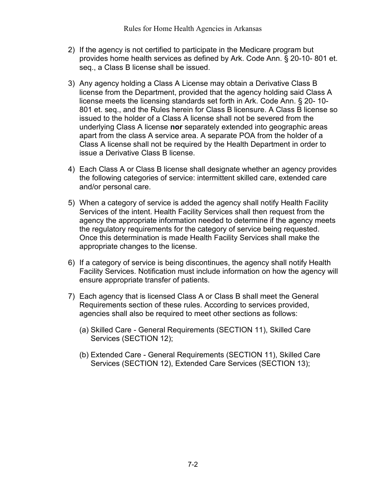- 2) If the agency is not certified to participate in the Medicare program but provides home health services as defined by Ark. Code Ann. § 20-10- 801 et. seq., a Class B license shall be issued.
- 3) Any agency holding a Class A License may obtain a Derivative Class B license from the Department, provided that the agency holding said Class A license meets the licensing standards set forth in Ark. Code Ann. § 20- 10- 801 et. seq., and the Rules herein for Class B licensure. A Class B license so issued to the holder of a Class A license shall not be severed from the underlying Class A license **nor** separately extended into geographic areas apart from the class A service area. A separate POA from the holder of a Class A license shall not be required by the Health Department in order to issue a Derivative Class B license.
- 4) Each Class A or Class B license shall designate whether an agency provides the following categories of service: intermittent skilled care, extended care and/or personal care.
- 5) When a category of service is added the agency shall notify Health Facility Services of the intent. Health Facility Services shall then request from the agency the appropriate information needed to determine if the agency meets the regulatory requirements for the category of service being requested. Once this determination is made Health Facility Services shall make the appropriate changes to the license.
- 6) If a category of service is being discontinues, the agency shall notify Health Facility Services. Notification must include information on how the agency will ensure appropriate transfer of patients.
- 7) Each agency that is licensed Class A or Class B shall meet the General Requirements section of these rules. According to services provided, agencies shall also be required to meet other sections as follows:
	- (a) Skilled Care General Requirements [\(SECTION 11\)](#page-18-0), Skilled Care Services [\(SECTION 12\)](#page-24-0);
	- (b) Extended Care General Requirements [\(SECTION 11\)](#page-18-0), Skilled Care Services [\(SECTION 12\)](#page-24-0), Extended Care Services [\(SECTION 13\)](#page-28-0);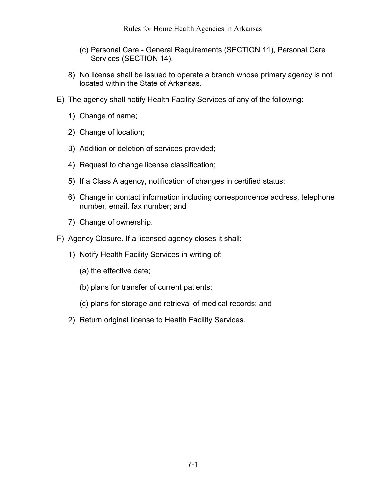- (c) Personal Care General Requirements [\(SECTION 11\)](#page-18-0), Personal Care Services [\(SECTION 14\)](#page-30-0).
- 8) No license shall be issued to operate a branch whose primary agency is notlocated within the State of Arkansas.
- E) The agency shall notify Health Facility Services of any of the following:
	- 1) Change of name;
	- 2) Change of location;
	- 3) Addition or deletion of services provided;
	- 4) Request to change license classification;
	- 5) If a Class A agency, notification of changes in certified status;
	- 6) Change in contact information including correspondence address, telephone number, email, fax number; and
	- 7) Change of ownership.
- F) Agency Closure. If a licensed agency closes it shall:
	- 1) Notify Health Facility Services in writing of:
		- (a) the effective date;
		- (b) plans for transfer of current patients;
		- (c) plans for storage and retrieval of medical records; and
	- 2) Return original license to Health Facility Services.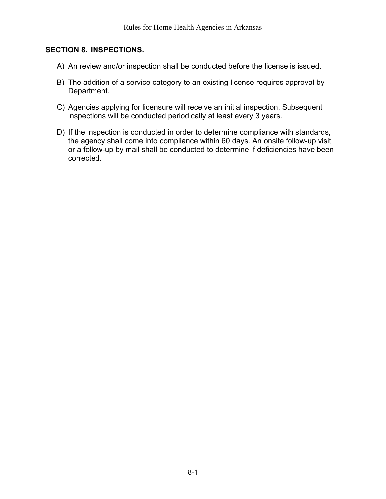#### <span id="page-15-0"></span>**SECTION 8. INSPECTIONS.**

- A) An review and/or inspection shall be conducted before the license is issued.
- B) The addition of a service category to an existing license requires approval by Department.
- C) Agencies applying for licensure will receive an initial inspection. Subsequent inspections will be conducted periodically at least every 3 years.
- D) If the inspection is conducted in order to determine compliance with standards, the agency shall come into compliance within 60 days. An onsite follow-up visit or a follow-up by mail shall be conducted to determine if deficiencies have been corrected.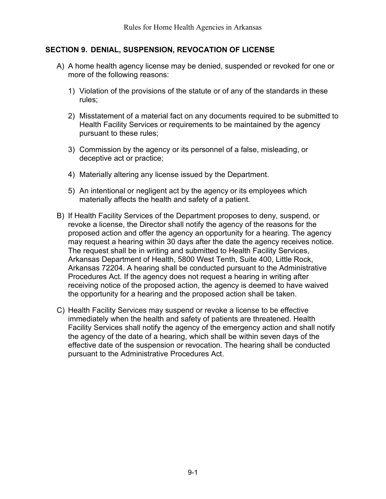#### <span id="page-16-0"></span>**SECTION 9. DENIAL, SUSPENSION, REVOCATION OF LICENSE**

- A) A home health agency license may be denied, suspended or revoked for one or more of the following reasons:
	- 1) Violation of the provisions of the statute or of any of the standards in these rules;
	- 2) Misstatement of a material fact on any documents required to be submitted to Health Facility Services or requirements to be maintained by the agency pursuant to these rules;
	- 3) Commission by the agency or its personnel of a false, misleading, or deceptive act or practice;
	- 4) Materially altering any license issued by the Department.
	- 5) An intentional or negligent act by the agency or its employees which materially affects the health and safety of a patient.
- B) If Health Facility Services of the Department proposes to deny, suspend, or revoke a license, the Director shall notify the agency of the reasons for the proposed action and offer the agency an opportunity for a hearing. The agency may request a hearing within 30 days after the date the agency receives notice. The request shall be in writing and submitted to Health Facility Services, Arkansas Department of Health, 5800 West Tenth, Suite 400, Little Rock, Arkansas 72204. A hearing shall be conducted pursuant to the Administrative Procedures Act. If the agency does not request a hearing in writing after receiving notice of the proposed action, the agency is deemed to have waived the opportunity for a hearing and the proposed action shall be taken.
- C) Health Facility Services may suspend or revoke a license to be effective immediately when the health and safety of patients are threatened. Health Facility Services shall notify the agency of the emergency action and shall notify the agency of the date of a hearing, which shall be within seven days of the effective date of the suspension or revocation. The hearing shall be conducted pursuant to the Administrative Procedures Act.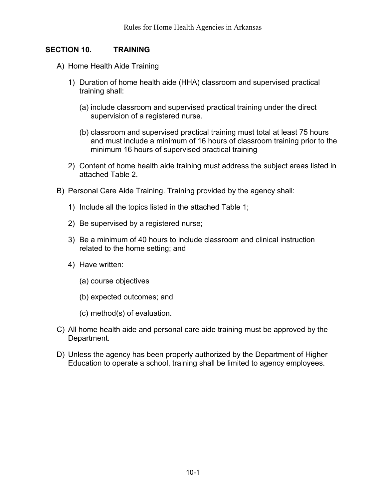#### <span id="page-17-0"></span>**SECTION 10. TRAINING**

- A) Home Health Aide Training
	- 1) Duration of home health aide (HHA) classroom and supervised practical training shall:
		- (a) include classroom and supervised practical training under the direct supervision of a registered nurse.
		- (b) classroom and supervised practical training must total at least 75 hours and must include a minimum of 16 hours of classroom training prior to the minimum 16 hours of supervised practical training
	- 2) Content of home health aide training must address the subject areas listed in attached Table 2.
- B) Personal Care Aide Training. Training provided by the agency shall:
	- 1) Include all the topics listed in the attached Table 1;
	- 2) Be supervised by a registered nurse;
	- 3) Be a minimum of 40 hours to include classroom and clinical instruction related to the home setting; and
	- 4) Have written:
		- (a) course objectives
		- (b) expected outcomes; and
		- (c) method(s) of evaluation.
- C) All home health aide and personal care aide training must be approved by the Department.
- D) Unless the agency has been properly authorized by the Department of Higher Education to operate a school, training shall be limited to agency employees.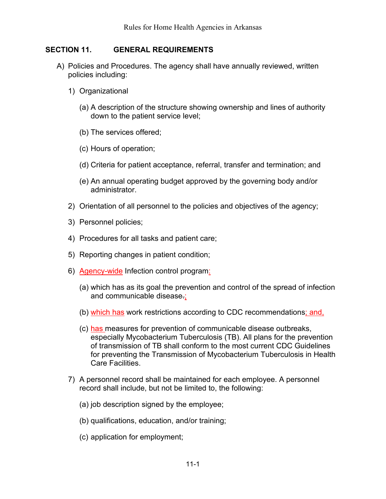#### <span id="page-18-0"></span>**SECTION 11. GENERAL REQUIREMENTS**

- <span id="page-18-1"></span>A) Policies and Procedures. The agency shall have annually reviewed, written policies including:
	- 1) Organizational
		- (a) A description of the structure showing ownership and lines of authority down to the patient service level;
		- (b) The services offered;
		- (c) Hours of operation;
		- (d) Criteria for patient acceptance, referral, transfer and termination; and
		- (e) An annual operating budget approved by the governing body and/or administrator.
	- 2) Orientation of all personnel to the policies and objectives of the agency;
	- 3) Personnel policies;
	- 4) Procedures for all tasks and patient care;
	- 5) Reporting changes in patient condition;
	- 6) Agency-wide Infection control program:
		- (a) which has as its goal the prevention and control of the spread of infection and communicable disease.:
		- (b) which has work restrictions according to CDC recommendations; and,
		- (c) has measures for prevention of communicable disease outbreaks, especially Mycobacterium Tuberculosis (TB). All plans for the prevention of transmission of TB shall conform to the most current CDC Guidelines for preventing the Transmission of Mycobacterium Tuberculosis in Health Care Facilities.
	- 7) A personnel record shall be maintained for each employee. A personnel record shall include, but not be limited to, the following:
		- (a) job description signed by the employee;
		- (b) qualifications, education, and/or training;
		- (c) application for employment;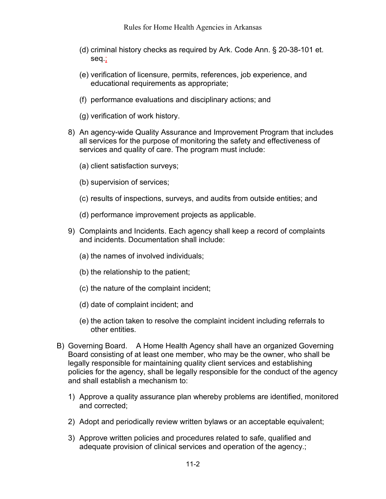- (d) criminal history checks as required by Ark. Code Ann. § 20-38-101 et. seq.;
- (e) verification of licensure, permits, references, job experience, and educational requirements as appropriate;
- (f) performance evaluations and disciplinary actions; and
- (g) verification of work history.
- 8) An agency-wide Quality Assurance and Improvement Program that includes all services for the purpose of monitoring the safety and effectiveness of services and quality of care. The program must include:
	- (a) client satisfaction surveys;
	- (b) supervision of services;
	- (c) results of inspections, surveys, and audits from outside entities; and
	- (d) performance improvement projects as applicable.
- 9) Complaints and Incidents. Each agency shall keep a record of complaints and incidents. Documentation shall include:
	- (a) the names of involved individuals;
	- (b) the relationship to the patient;
	- (c) the nature of the complaint incident;
	- (d) date of complaint incident; and
	- (e) the action taken to resolve the complaint incident including referrals to other entities.
- B) Governing Board. A Home Health Agency shall have an organized Governing Board consisting of at least one member, who may be the owner, who shall be legally responsible for maintaining quality client services and establishing policies for the agency, shall be legally responsible for the conduct of the agency and shall establish a mechanism to:
	- 1) Approve a quality assurance plan whereby problems are identified, monitored and corrected;
	- 2) Adopt and periodically review written bylaws or an acceptable equivalent;
	- 3) Approve written policies and procedures related to safe, qualified and adequate provision of clinical services and operation of the agency.;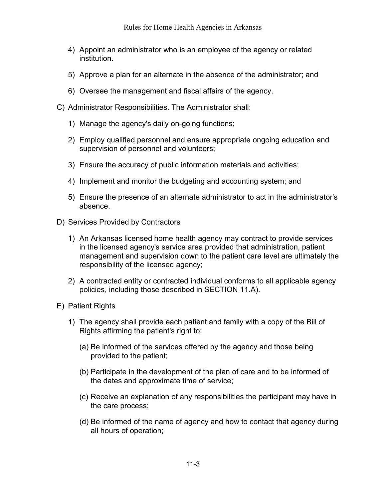- 4) Appoint an administrator who is an employee of the agency or related institution.
- 5) Approve a plan for an alternate in the absence of the administrator; and
- 6) Oversee the management and fiscal affairs of the agency.
- C) Administrator Responsibilities. The Administrator shall:
	- 1) Manage the agency's daily on-going functions;
	- 2) Employ qualified personnel and ensure appropriate ongoing education and supervision of personnel and volunteers;
	- 3) Ensure the accuracy of public information materials and activities;
	- 4) Implement and monitor the budgeting and accounting system; and
	- 5) Ensure the presence of an alternate administrator to act in the administrator's absence.
- D) Services Provided by Contractors
	- 1) An Arkansas licensed home health agency may contract to provide services in the licensed agency's service area provided that administration, patient management and supervision down to the patient care level are ultimately the responsibility of the licensed agency;
	- 2) A contracted entity or contracted individual conforms to all applicable agency policies, including those described in [SECTION 11.A\).](#page-18-1)
- E) Patient Rights
	- 1) The agency shall provide each patient and family with a copy of the Bill of Rights affirming the patient's right to:
		- (a) Be informed of the services offered by the agency and those being provided to the patient;
		- (b) Participate in the development of the plan of care and to be informed of the dates and approximate time of service;
		- (c) Receive an explanation of any responsibilities the participant may have in the care process;
		- (d) Be informed of the name of agency and how to contact that agency during all hours of operation;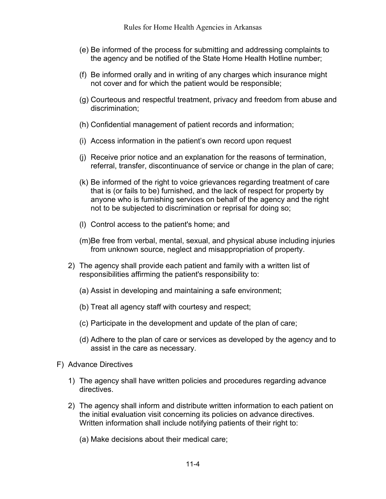- (e) Be informed of the process for submitting and addressing complaints to the agency and be notified of the State Home Health Hotline number;
- (f) Be informed orally and in writing of any charges which insurance might not cover and for which the patient would be responsible;
- (g) Courteous and respectful treatment, privacy and freedom from abuse and discrimination;
- (h) Confidential management of patient records and information;
- (i) Access information in the patient's own record upon request
- (j) Receive prior notice and an explanation for the reasons of termination, referral, transfer, discontinuance of service or change in the plan of care;
- (k) Be informed of the right to voice grievances regarding treatment of care that is (or fails to be) furnished, and the lack of respect for property by anyone who is furnishing services on behalf of the agency and the right not to be subjected to discrimination or reprisal for doing so;
- (l) Control access to the patient's home; and
- (m)Be free from verbal, mental, sexual, and physical abuse including injuries from unknown source, neglect and misappropriation of property.
- 2) The agency shall provide each patient and family with a written list of responsibilities affirming the patient's responsibility to:
	- (a) Assist in developing and maintaining a safe environment;
	- (b) Treat all agency staff with courtesy and respect;
	- (c) Participate in the development and update of the plan of care;
	- (d) Adhere to the plan of care or services as developed by the agency and to assist in the care as necessary.
- F) Advance Directives
	- 1) The agency shall have written policies and procedures regarding advance directives.
	- 2) The agency shall inform and distribute written information to each patient on the initial evaluation visit concerning its policies on advance directives. Written information shall include notifying patients of their right to:
		- (a) Make decisions about their medical care;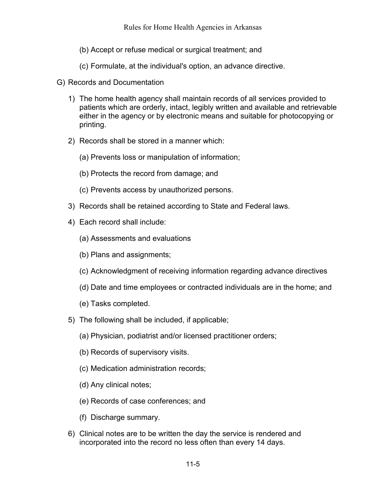- (b) Accept or refuse medical or surgical treatment; and
- (c) Formulate, at the individual's option, an advance directive.
- G) Records and Documentation
	- 1) The home health agency shall maintain records of all services provided to patients which are orderly, intact, legibly written and available and retrievable either in the agency or by electronic means and suitable for photocopying or printing.
	- 2) Records shall be stored in a manner which:
		- (a) Prevents loss or manipulation of information;
		- (b) Protects the record from damage; and
		- (c) Prevents access by unauthorized persons.
	- 3) Records shall be retained according to State and Federal laws.
	- 4) Each record shall include:
		- (a) Assessments and evaluations
		- (b) Plans and assignments;
		- (c) Acknowledgment of receiving information regarding advance directives
		- (d) Date and time employees or contracted individuals are in the home; and
		- (e) Tasks completed.
	- 5) The following shall be included, if applicable;
		- (a) Physician, podiatrist and/or licensed practitioner orders;
		- (b) Records of supervisory visits.
		- (c) Medication administration records;
		- (d) Any clinical notes;
		- (e) Records of case conferences; and
		- (f) Discharge summary.
	- 6) Clinical notes are to be written the day the service is rendered and incorporated into the record no less often than every 14 days.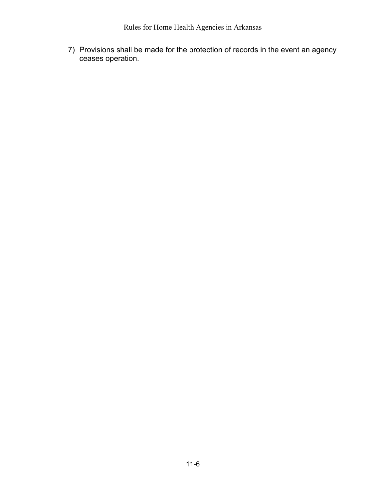7) Provisions shall be made for the protection of records in the event an agency ceases operation.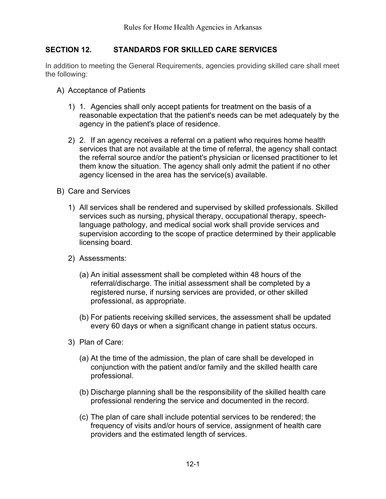## <span id="page-24-0"></span>**SECTION 12. STANDARDS FOR SKILLED CARE SERVICES**

In addition to meeting the General Requirements, agencies providing skilled care shall meet the following:

- A) Acceptance of Patients
	- 1) 1. Agencies shall only accept patients for treatment on the basis of a reasonable expectation that the patient's needs can be met adequately by the agency in the patient's place of residence.
	- 2) 2. If an agency receives a referral on a patient who requires home health services that are not available at the time of referral, the agency shall contact the referral source and/or the patient's physician or licensed practitioner to let them know the situation. The agency shall only admit the patient if no other agency licensed in the area has the service(s) available.
- B) Care and Services
	- 1) All services shall be rendered and supervised by skilled professionals. Skilled services such as nursing, physical therapy, occupational therapy, speechlanguage pathology, and medical social work shall provide services and supervision according to the scope of practice determined by their applicable licensing board.
	- 2) Assessments:
		- (a) An initial assessment shall be completed within 48 hours of the referral/discharge. The initial assessment shall be completed by a registered nurse, if nursing services are provided, or other skilled professional, as appropriate.
		- (b) For patients receiving skilled services, the assessment shall be updated every 60 days or when a significant change in patient status occurs.
	- 3) Plan of Care:
		- (a) At the time of the admission, the plan of care shall be developed in conjunction with the patient and/or family and the skilled health care professional.
		- (b) Discharge planning shall be the responsibility of the skilled health care professional rendering the service and documented in the record.
		- (c) The plan of care shall include potential services to be rendered; the frequency of visits and/or hours of service, assignment of health care providers and the estimated length of services.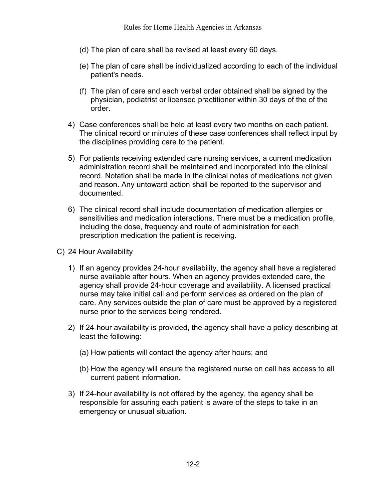- (d) The plan of care shall be revised at least every 60 days.
- (e) The plan of care shall be individualized according to each of the individual patient's needs.
- (f) The plan of care and each verbal order obtained shall be signed by the physician, podiatrist or licensed practitioner within 30 days of the of the order.
- 4) Case conferences shall be held at least every two months on each patient. The clinical record or minutes of these case conferences shall reflect input by the disciplines providing care to the patient.
- 5) For patients receiving extended care nursing services, a current medication administration record shall be maintained and incorporated into the clinical record. Notation shall be made in the clinical notes of medications not given and reason. Any untoward action shall be reported to the supervisor and documented.
- 6) The clinical record shall include documentation of medication allergies or sensitivities and medication interactions. There must be a medication profile, including the dose, frequency and route of administration for each prescription medication the patient is receiving.
- C) 24 Hour Availability
	- 1) If an agency provides 24-hour availability, the agency shall have a registered nurse available after hours. When an agency provides extended care, the agency shall provide 24-hour coverage and availability. A licensed practical nurse may take initial call and perform services as ordered on the plan of care. Any services outside the plan of care must be approved by a registered nurse prior to the services being rendered.
	- 2) If 24-hour availability is provided, the agency shall have a policy describing at least the following:
		- (a) How patients will contact the agency after hours; and
		- (b) How the agency will ensure the registered nurse on call has access to all current patient information.
	- 3) If 24-hour availability is not offered by the agency, the agency shall be responsible for assuring each patient is aware of the steps to take in an emergency or unusual situation.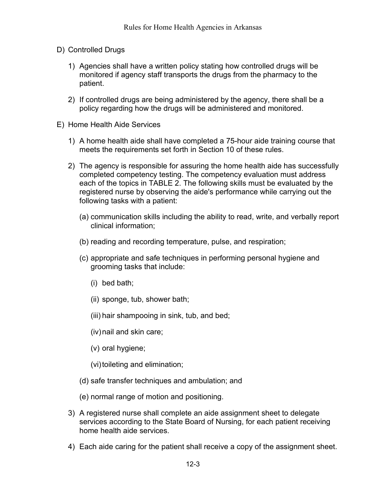- D) Controlled Drugs
	- 1) Agencies shall have a written policy stating how controlled drugs will be monitored if agency staff transports the drugs from the pharmacy to the patient.
	- 2) If controlled drugs are being administered by the agency, there shall be a policy regarding how the drugs will be administered and monitored.
- E) Home Health Aide Services
	- 1) A home health aide shall have completed a 75-hour aide training course that meets the requirements set forth in Section 10 of these rules.
	- 2) The agency is responsible for assuring the home health aide has successfully completed competency testing. The competency evaluation must address each of the topics in TABLE 2. The following skills must be evaluated by the registered nurse by observing the aide's performance while carrying out the following tasks with a patient:
		- (a) communication skills including the ability to read, write, and verbally report clinical information;
		- (b) reading and recording temperature, pulse, and respiration;
		- (c) appropriate and safe techniques in performing personal hygiene and grooming tasks that include:
			- (i) bed bath;
			- (ii) sponge, tub, shower bath;
			- (iii) hair shampooing in sink, tub, and bed;
			- (iv)nail and skin care;
			- (v) oral hygiene;

(vi) toileting and elimination;

- (d) safe transfer techniques and ambulation; and
- (e) normal range of motion and positioning.
- 3) A registered nurse shall complete an aide assignment sheet to delegate services according to the State Board of Nursing, for each patient receiving home health aide services.
- 4) Each aide caring for the patient shall receive a copy of the assignment sheet.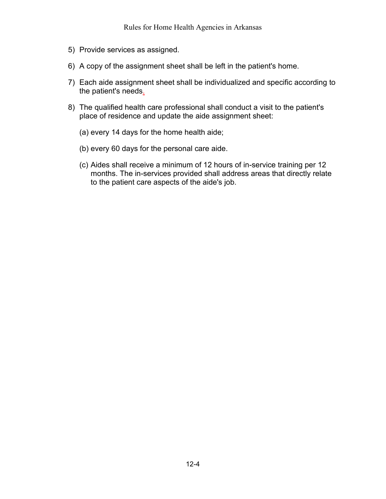- 5) Provide services as assigned.
- 6) A copy of the assignment sheet shall be left in the patient's home.
- 7) Each aide assignment sheet shall be individualized and specific according to the patient's needs.
- 8) The qualified health care professional shall conduct a visit to the patient's place of residence and update the aide assignment sheet:
	- (a) every 14 days for the home health aide;
	- (b) every 60 days for the personal care aide.
	- (c) Aides shall receive a minimum of 12 hours of in-service training per 12 months. The in-services provided shall address areas that directly relate to the patient care aspects of the aide's job.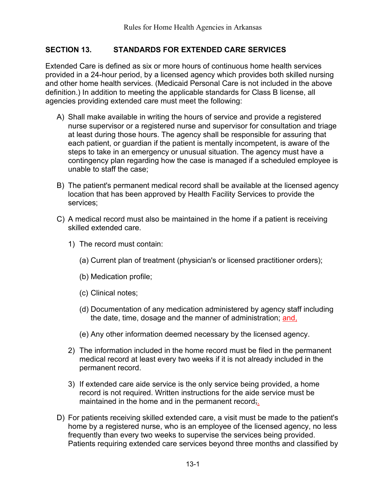#### <span id="page-28-0"></span>**SECTION 13. STANDARDS FOR EXTENDED CARE SERVICES**

Extended Care is defined as six or more hours of continuous home health services provided in a 24-hour period, by a licensed agency which provides both skilled nursing and other home health services. (Medicaid Personal Care is not included in the above definition.) In addition to meeting the applicable standards for Class B license, all agencies providing extended care must meet the following:

- A) Shall make available in writing the hours of service and provide a registered nurse supervisor or a registered nurse and supervisor for consultation and triage at least during those hours. The agency shall be responsible for assuring that each patient, or guardian if the patient is mentally incompetent, is aware of the steps to take in an emergency or unusual situation. The agency must have a contingency plan regarding how the case is managed if a scheduled employee is unable to staff the case;
- B) The patient's permanent medical record shall be available at the licensed agency location that has been approved by Health Facility Services to provide the services;
- C) A medical record must also be maintained in the home if a patient is receiving skilled extended care.
	- 1) The record must contain:
		- (a) Current plan of treatment (physician's or licensed practitioner orders);
		- (b) Medication profile;
		- (c) Clinical notes;
		- (d) Documentation of any medication administered by agency staff including the date, time, dosage and the manner of administration; and,
		- (e) Any other information deemed necessary by the licensed agency.
	- 2) The information included in the home record must be filed in the permanent medical record at least every two weeks if it is not already included in the permanent record.
	- 3) If extended care aide service is the only service being provided, a home record is not required. Written instructions for the aide service must be maintained in the home and in the permanent record;
- D) For patients receiving skilled extended care, a visit must be made to the patient's home by a registered nurse, who is an employee of the licensed agency, no less frequently than every two weeks to supervise the services being provided. Patients requiring extended care services beyond three months and classified by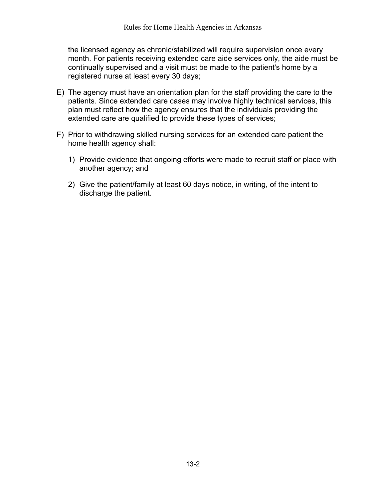the licensed agency as chronic/stabilized will require supervision once every month. For patients receiving extended care aide services only, the aide must be continually supervised and a visit must be made to the patient's home by a registered nurse at least every 30 days;

- E) The agency must have an orientation plan for the staff providing the care to the patients. Since extended care cases may involve highly technical services, this plan must reflect how the agency ensures that the individuals providing the extended care are qualified to provide these types of services;
- F) Prior to withdrawing skilled nursing services for an extended care patient the home health agency shall:
	- 1) Provide evidence that ongoing efforts were made to recruit staff or place with another agency; and
	- 2) Give the patient/family at least 60 days notice, in writing, of the intent to discharge the patient.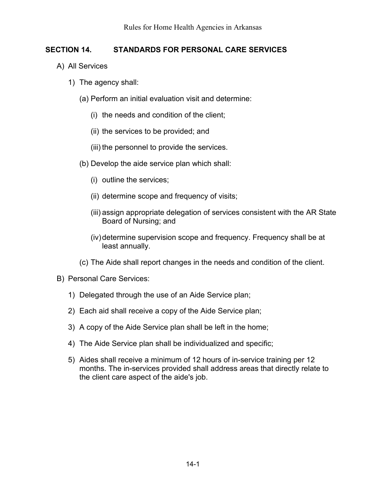## <span id="page-30-0"></span>**SECTION 14. STANDARDS FOR PERSONAL CARE SERVICES**

- A) All Services
	- 1) The agency shall:
		- (a) Perform an initial evaluation visit and determine:
			- (i) the needs and condition of the client;
			- (ii) the services to be provided; and
			- (iii) the personnel to provide the services.
		- (b) Develop the aide service plan which shall:
			- (i) outline the services;
			- (ii) determine scope and frequency of visits;
			- (iii) assign appropriate delegation of services consistent with the AR State Board of Nursing; and
			- (iv)determine supervision scope and frequency. Frequency shall be at least annually.
		- (c) The Aide shall report changes in the needs and condition of the client.
- B) Personal Care Services:
	- 1) Delegated through the use of an Aide Service plan;
	- 2) Each aid shall receive a copy of the Aide Service plan;
	- 3) A copy of the Aide Service plan shall be left in the home;
	- 4) The Aide Service plan shall be individualized and specific;
	- 5) Aides shall receive a minimum of 12 hours of in-service training per 12 months. The in-services provided shall address areas that directly relate to the client care aspect of the aide's job.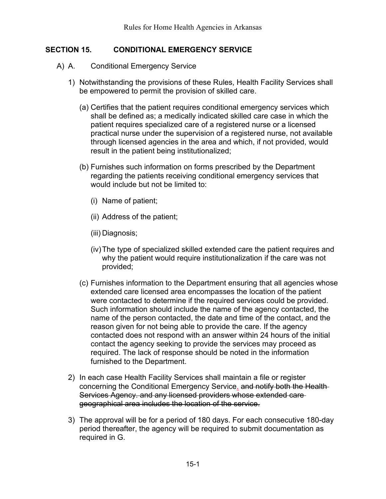#### <span id="page-31-0"></span>**SECTION 15. CONDITIONAL EMERGENCY SERVICE**

- A) A. Conditional Emergency Service
	- 1) Notwithstanding the provisions of these Rules, Health Facility Services shall be empowered to permit the provision of skilled care.
		- (a) Certifies that the patient requires conditional emergency services which shall be defined as; a medically indicated skilled care case in which the patient requires specialized care of a registered nurse or a licensed practical nurse under the supervision of a registered nurse, not available through licensed agencies in the area and which, if not provided, would result in the patient being institutionalized;
		- (b) Furnishes such information on forms prescribed by the Department regarding the patients receiving conditional emergency services that would include but not be limited to:
			- (i) Name of patient;
			- (ii) Address of the patient;
			- (iii) Diagnosis;
			- (iv)The type of specialized skilled extended care the patient requires and why the patient would require institutionalization if the care was not provided;
		- (c) Furnishes information to the Department ensuring that all agencies whose extended care licensed area encompasses the location of the patient were contacted to determine if the required services could be provided. Such information should include the name of the agency contacted, the name of the person contacted, the date and time of the contact, and the reason given for not being able to provide the care. If the agency contacted does not respond with an answer within 24 hours of the initial contact the agency seeking to provide the services may proceed as required. The lack of response should be noted in the information furnished to the Department.
	- 2) In each case Health Facility Services shall maintain a file or register concerning the Conditional Emergency Service. and notify both the Health Services Agency. and any licensed providers whose extended care geographical area includes the location of the service.
	- 3) The approval will be for a period of 180 days. For each consecutive 180-day period thereafter, the agency will be required to submit documentation as required in G.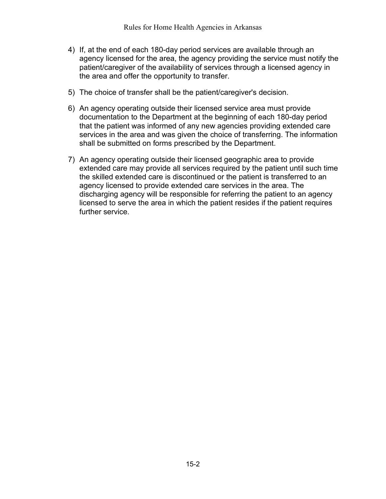- 4) If, at the end of each 180-day period services are available through an agency licensed for the area, the agency providing the service must notify the patient/caregiver of the availability of services through a licensed agency in the area and offer the opportunity to transfer.
- 5) The choice of transfer shall be the patient/caregiver's decision.
- 6) An agency operating outside their licensed service area must provide documentation to the Department at the beginning of each 180-day period that the patient was informed of any new agencies providing extended care services in the area and was given the choice of transferring. The information shall be submitted on forms prescribed by the Department.
- 7) An agency operating outside their licensed geographic area to provide extended care may provide all services required by the patient until such time the skilled extended care is discontinued or the patient is transferred to an agency licensed to provide extended care services in the area. The discharging agency will be responsible for referring the patient to an agency licensed to serve the area in which the patient resides if the patient requires further service.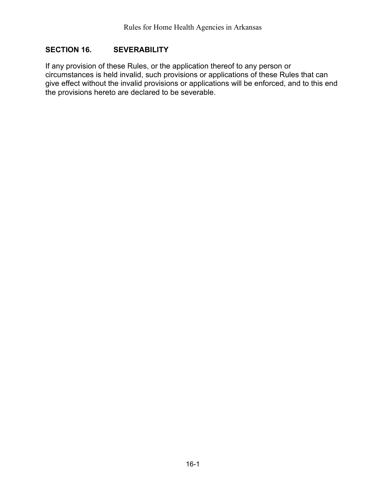#### <span id="page-33-0"></span>**SECTION 16. SEVERABILITY**

If any provision of these Rules, or the application thereof to any person or circumstances is held invalid, such provisions or applications of these Rules that can give effect without the invalid provisions or applications will be enforced, and to this end the provisions hereto are declared to be severable.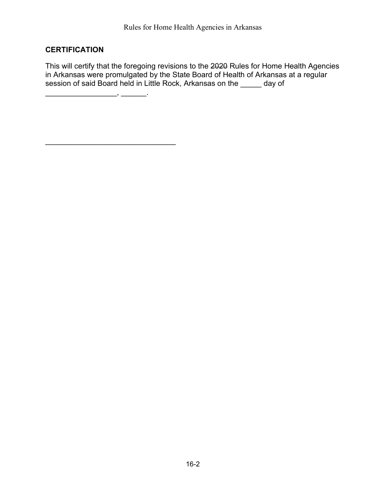# **CERTIFICATION**

This will certify that the foregoing revisions to the 2020 Rules for Home Health Agencies in Arkansas were promulgated by the State Board of Health of Arkansas at a regular session of said Board held in Little Rock, Arkansas on the \_\_\_\_\_ day of

\_\_\_\_\_\_\_\_\_\_\_\_\_\_\_\_\_, \_\_\_\_\_\_.

\_\_\_\_\_\_\_\_\_\_\_\_\_\_\_\_\_\_\_\_\_\_\_\_\_\_\_\_\_\_\_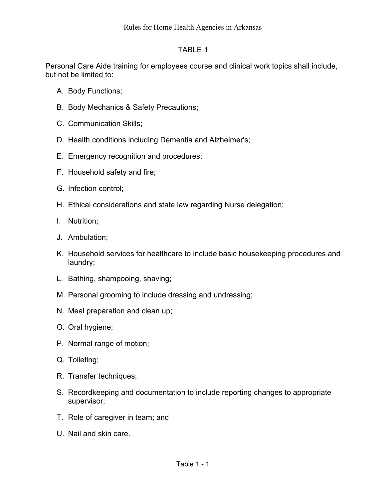#### TABLE 1

Personal Care Aide training for employees course and clinical work topics shall include, but not be limited to:

- A. Body Functions;
- B. Body Mechanics & Safety Precautions;
- C. Communication Skills;
- D. Health conditions including Dementia and Alzheimer's;
- E. Emergency recognition and procedures;
- F. Household safety and fire;
- G. Infection control;
- H. Ethical considerations and state law regarding Nurse delegation;
- I. Nutrition;
- J. Ambulation;
- K. Household services for healthcare to include basic housekeeping procedures and laundry;
- L. Bathing, shampooing, shaving;
- M. Personal grooming to include dressing and undressing;
- N. Meal preparation and clean up;
- O. Oral hygiene;
- P. Normal range of motion;
- Q. Toileting;
- R. Transfer techniques;
- S. Recordkeeping and documentation to include reporting changes to appropriate supervisor;
- T. Role of caregiver in team; and
- U. Nail and skin care.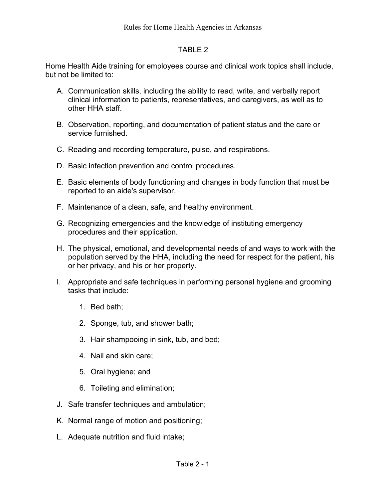#### TABLE 2

Home Health Aide training for employees course and clinical work topics shall include, but not be limited to:

- A. Communication skills, including the ability to read, write, and verbally report clinical information to patients, representatives, and caregivers, as well as to other HHA staff.
- B. Observation, reporting, and documentation of patient status and the care or service furnished.
- C. Reading and recording temperature, pulse, and respirations.
- D. Basic infection prevention and control procedures.
- E. Basic elements of body functioning and changes in body function that must be reported to an aide's supervisor.
- F. Maintenance of a clean, safe, and healthy environment.
- G. Recognizing emergencies and the knowledge of instituting emergency procedures and their application.
- H. The physical, emotional, and developmental needs of and ways to work with the population served by the HHA, including the need for respect for the patient, his or her privacy, and his or her property.
- I. Appropriate and safe techniques in performing personal hygiene and grooming tasks that include:
	- 1. Bed bath;
	- 2. Sponge, tub, and shower bath;
	- 3. Hair shampooing in sink, tub, and bed;
	- 4. Nail and skin care;
	- 5. Oral hygiene; and
	- 6. Toileting and elimination;
- J. Safe transfer techniques and ambulation;
- K. Normal range of motion and positioning;
- L. Adequate nutrition and fluid intake;